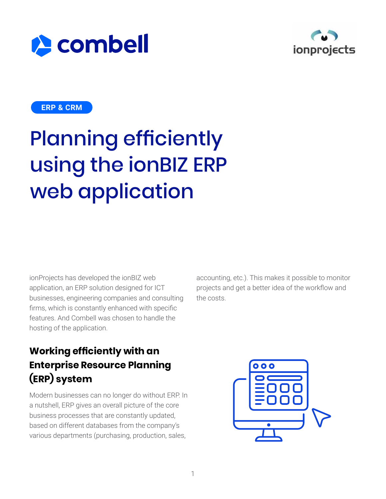



#### **ERP & CRM**

# Planning efficiently using the ionBIZ ERP web application

ionProjects has developed the ionBIZ web application, an ERP solution designed for ICT businesses, engineering companies and consulting firms, which is constantly enhanced with specific features. And Combell was chosen to handle the hosting of the application.

accounting, etc.). This makes it possible to monitor projects and get a better idea of the workflow and the costs.

#### **Working efficiently with an Enterprise Resource Planning (ERP) system**

Modern businesses can no longer do without ERP. In a nutshell, ERP gives an overall picture of the core business processes that are constantly updated, based on different databases from the company's various departments (purchasing, production, sales,

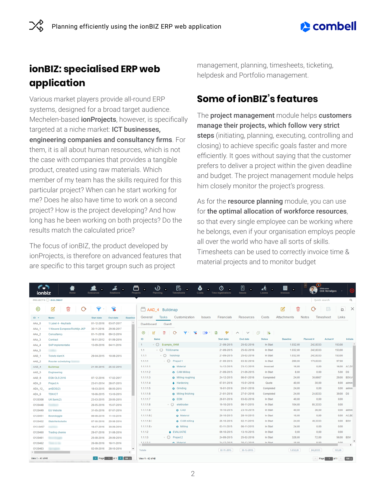### $\triangle$  combell

#### **ionBIZ: specialised ERP web application**

Various market players provide all-round ERP systems, designed for a broad target audience. Mechelen-based **ionProjects**, however, is specifically targeted at a niche market: ICT businesses, engineering companies and consultancy firms. For them, it is all about human resources, which is not the case with companies that provides a tangible product, created using raw materials. Which member of my team has the skills required for this particular project? When can he start working for me? Does he also have time to work on a second project? How is the project developing? And how long has he been working on both projects? Do the results match the calculated price?

The focus of ionBIZ, the product developed by ionProjects, is therefore on advanced features that are specific to this target groupn such as project

management, planning, timesheets, ticketing, helpdesk and Portfolio management.

#### **Some of ionBIZ's features**

The project management module helps customers manage their projects, which follow very strict steps (initiating, planning, executing, controlling and closing) to achieve specific goals faster and more efficiently. It goes without saying that the customer prefers to deliver a project within the given deadline and budget. The project management module helps him closely monitor the project's progress.

As for the **resource planning** module, you can use for the optimal allocation of workforce resources, so that every single employee can be working where he belongs, even if your organisation employs people all over the world who have all sorts of skills. Timesheets can be used to correctly invoice time & material projects and to monitor budget

| CN<br>ionbiz                               | ▜<br>Home                       | <b>Resources</b>  | Relations             | Projects        | ٠                 | ß<br>D<br>٠<br>٠<br>Timesheets<br>Planning | O<br>0<br>Costs<br><b>Time registrations</b> | H<br>٠<br>Issues                   | N<br>٠<br>Leaves | 圜<br>٠<br>Invoices  | $\left( 4\right)$<br>Welcome | <b>Dirk Verwilgen</b> |              |
|--------------------------------------------|---------------------------------|-------------------|-----------------------|-----------------|-------------------|--------------------------------------------|----------------------------------------------|------------------------------------|------------------|---------------------|------------------------------|-----------------------|--------------|
|                                            | <b>PROJECTS ◯ BUILDMAP</b>      |                   |                       |                 |                   |                                            |                                              |                                    |                  |                     | Quick search                 |                       | $\alpha$     |
| $_{\tiny{\textregistered}}$                | 齒<br>M<br>Q                     | ❤                 | ⅋                     |                 |                   | AAD_4 Buildmap                             |                                              |                                    |                  | 尙<br>$\overline{M}$ | G                            | <b>H</b> o<br>$\Box$  | $\times$     |
| $ID - r$                                   | Name                            | <b>Start date</b> | End date              | <b>Baseline</b> | General           | Customization<br>Tasks                     | Financials<br><b>Issues</b>                  | <b>Resources</b>                   | Costs            | Attachments         | Timesheet<br><b>Notes</b>    | Links                 |              |
| AAA_0                                      | 1 Label 4 - Keytrade            | 01-12-2016        | 03-07-2017            |                 | Dashboard         | Gantt                                      |                                              |                                    |                  |                     |                              |                       |              |
| AAA_1                                      | 1 Nieuwe Europese Richtlijn JKP | 30-11-2016        | 29-06-2017            |                 |                   |                                            |                                              |                                    |                  |                     |                              |                       |              |
| AAA 2                                      | Consultancy                     | 01-11-2016        | 09-12-2016            |                 | $\odot$<br>Ø      | ⅋<br>Ū<br>o                                | ø<br>$\blacksquare$<br>v                     | $\checkmark$<br>$\curvearrowright$ | 凸<br><b>Do</b>   |                     |                              |                       |              |
| AAA 3                                      | Contract                        | 18-01-2012        | 01-09-2016            |                 | ID                | Name                                       | Start date                                   | End date                           | <b>Status</b>    | <b>Baseline</b>     | Planned #                    | Actual #              | Initials     |
| AAA 4                                      | SAP implementatie               | 13-09-2016        | 04-11-2016            |                 | $\mathbf{1}$      | $\vee$ $\odot$ Example VHM                 | 21-09-2015                                   | 25-02-2016                         | In Start         | 1.032.00            | 242.8333                     | 153,00                |              |
| AAA_5                                      | Constitute.                     |                   |                       |                 | 1.1               | $\cdot$ $\odot$ TOOLname                   | 21-09-2015                                   | 25-02-2016                         | In Start         | 1.032.00            | 242,8333                     | 153.00                |              |
| AAD <sub>1</sub>                           | <b>Tickets klant X</b>          |                   | 29-04-2015 10-08-2015 |                 | 1.1.1             | $\vee$ $\bigcirc$ Toolshop                 | 21-09-2015                                   | 25-02-2016                         | In Start         | 1.032,00            | 242,8333                     | 153,00                |              |
| AAD <sub>2</sub>                           | Rooster scheduling              |                   |                       |                 | 1, 1, 1, 1        | $\sqrt{}$ Project 1                        | 21-09-2015                                   | 03-02-2016                         | In Start         | 280,00              | 170,8333                     | 97.00                 |              |
| AAD 4                                      | Buildmap                        |                   | 21-09-2015 25-02-2016 |                 | 1.1.1.1.1         | & Material                                 | 14-12-2015                                   | 23-12-2015                         | Invoiced         | 16,00               | 0.00                         |                       | 16.00 AC.DS  |
| AAD_5                                      | Engineering                     |                   |                       |                 | 1.1.1.1.2         | CAM Milling                                | 21-09-2015                                   | 21-09-2015                         | In Start         | 8.00                | 0,00                         | 5.00 DS               |              |
| AAD_8                                      | <b>EGM OLS 2016</b>             | 07-12-2016        | 17-02-2017            |                 | 1.1.1.1.3         | <b>O</b> Milling roughing                  | 24-12-2015                                   | 06-01-2016                         | Completed        | 24.00               | 30,6667                      |                       | 29.00 BDV.A  |
| ADA 0                                      | Project A                       | 23-01-2014        | 28-07-2015            |                 | 1.1.1.1.4         | <b>+ Hardening</b>                         | 07-01-2016                                   | 15-01-2016                         | Quote            | 40.00               | 30.00                        |                       | 8.00 admin   |
| ADA_12                                     | antDOS(2)                       | 18-03-2015        | 08-05-2015            |                 | 1.1.1.1.5         | <b>O</b> Grinding                          | 18-01-2016                                   | 20-01-2016                         | Completed        | 24.00               | 0.00                         |                       | $0.00$ admin |
| ADA 6                                      | <b>TSN ICT</b>                  | 10-06-2015        | 13-10-2015            |                 | 1.1.1.1.6         | & Milling finishing                        | 21-01-2016                                   | 27-01-2016                         | Completed        | 24.00               | 24.8333                      | 39.00 DS              |              |
| O120308                                    | UK Bank(2)                      | 23-03-2015        | 20-05-2015            |                 | 1.1.1.1.7         | <b>☆ EDM</b>                               | 28-01-2016                                   | 03-02-2016                         | In Start         | 40.00               | 0.00                         | 0.00                  |              |
| O120448                                    | <b>Sandblack</b>                | 26-05-2016        | 15-07-2016            |                 | 1.1.1.1.8         | $\circ$<br>elektroden                      | 19-10-2015                                   | 06-11-2015                         | In Start         | 104,00              | 85,3333                      | 0.00                  |              |
| O120449                                    | <b>EU Website</b>               | 31-05-2016        | 07-07-2016            |                 | 1.1.1.1.8.        | O CAD                                      | 19-10-2015                                   | 23-10-2015                         | In Start         | 40.00               | 36,00                        |                       | $0.00$ admin |
| O120451                                    | Boondoggle                      | 06-06-2016        | 11-10-2016            |                 | 1.1.1.1.8.7       | <b>C</b> Material                          | 26-10-2015                                   | 28-10-2015                         | In Start         | 16.00               | 0.00                         |                       | 0.00 AC.BD   |
| O120452                                    | Stabiliteitsstudie              | 07-06-2016        | 29-08-2016            |                 | 1.1.1.1.8.3       | <b>O</b> CAM milling                       | 29-10-2015                                   | 02-11-2015                         | In Start         | 24.00               | 49,3333                      |                       | $0.00$ BDV   |
| O12-0457                                   | <b>PARTICULAR COMPOSITION</b>   | 18-07-2016        | 30-09-2016            |                 | 1.1.1.1.8.4       | <b>O</b> Milling                           | 03-11-2015                                   | 06-11-2015                         | In Start         | 24.00               | 0.00                         | 0.00                  |              |
| O120460                                    | <b>Trading chemie</b>           |                   | 29-07-2016 31-08-2016 |                 | 1.1.1.2           | <b>EVALUATIE</b>                           | 09-10-2015                                   | 13-10-2015                         | In Start         | 0,00                | 0,00                         | 0.00                  |              |
| O120461                                    | <b>CONTROL</b>                  | 25-08-2016        | 29-09-2016            |                 | 1.1.1.3           | $\sqrt{C}$ Project 2                       | 24-09-2015                                   | 25-02-2016                         | In Start         | 328,00              | 72,00                        | 56,00 BDV             |              |
| O120462                                    | <b>Dealer Street</b>            | 26-08-2016        | 18-11-2016            |                 | 11131             | <b>A</b> Material                          | 24-12-2015                                   | 30-12-2015                         | In Start         | 16.00               | $R$ 00                       | 0.001                 |              |
| O120463                                    | <b>Springfords</b>              | 02-09-2016        | 28-10-2016            | $\star$         | Totals            |                                            | 02-11-2015                                   | 30-12-2015                         |                  | 1.032,00            | 242,8333                     | 153,00                |              |
| 1 Page 1 of 1 3 100 c<br>View 1 - 41 of 41 |                                 |                   |                       |                 | View 1 - 42 of 42 |                                            |                                              |                                    |                  |                     |                              | Page 1 of 1           | $1000 \div$  |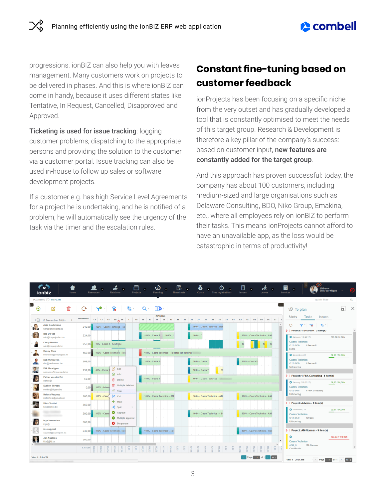progressions. ionBIZ can also help you with leaves management. Many customers work on projects to be delivered in phases. And this is where ionBIZ can come in handy, because it uses different states like Tentative, In Request, Cancelled, Disapproved and Approved.

Ticketing is used for issue tracking: logging customer problems, dispatching to the appropriate persons and providing the solution to the customer via a customer portal. Issue tracking can also be used in-house to follow up sales or software development projects.

If a customer e.g. has high Service Level Agreements for a project he is undertaking, and he is notified of a problem, he will automatically see the urgency of the task via the timer and the escalation rules.

#### **Constant fine-tuning based on customer feedback**

ionProjects has been focusing on a specific niche from the very outset and has gradually developed a tool that is constantly optimised to meet the needs of this target group. Research & Development is therefore a key pillar of the company's success: based on customer input, new features are constantly added for the target group.

And this approach has proven successful: today, the company has about 100 customers, including medium-sized and large organisations such as Delaware Consulting, BDO, Niko Group, Emakina, etc., where all employees rely on ionBIZ to perform their tasks. This means ionProjects cannot afford to have an unavailable app, as the loss would be catastrophic in terms of productivity!

|                                                  | C.J<br>œ<br>ionbiz<br>Home                        |                     | <b>Relations</b><br>Resources                       | ß<br>D<br>┓<br>٠<br>Projects<br><b>Timesheets</b><br>Planning | O<br>◕<br>$\bullet$<br>Costs<br><b>Time registrations</b>         | 闓<br>Æ<br>Leaves<br>Issues  | 32<br>闓<br>Welcome<br>٠<br><b>Dirk Verwilgen</b><br>Invoices                            |
|--------------------------------------------------|---------------------------------------------------|---------------------|-----------------------------------------------------|---------------------------------------------------------------|-------------------------------------------------------------------|-----------------------------|-----------------------------------------------------------------------------------------|
|                                                  | PLANNING O TO PLAN                                |                     |                                                     |                                                               |                                                                   |                             | Quick filter<br>$\Omega$                                                                |
| $\sum_{i=1}^{n}$<br>$_{\scriptscriptstyle\odot}$ | И                                                 |                     | -9                                                  | $\Box$ o                                                      |                                                                   | -> 1                        | $\Box$<br>$\times$<br>$\bigcirc$ To plan                                                |
| <画                                               | 12 December 2016 * >                              | <b>Arailability</b> |                                                     | 2016 Dec                                                      | 12 13 14 15 16 17 18 19 20 21 22 23 24 25 26 27 28 29 30 31 01 02 | 03 04 05<br>07<br>06        | Tasks<br>Sticky<br><b>Issues</b>                                                        |
| د، کا                                            | Anja Ceulemans<br>wim@ionprojects.be              | 240.00              | 100% - Caers Technics - Ro                          |                                                               | 100% - Caers Technics - Roc                                       |                             | 152.7<br>$\circ$<br>[-] Project: 1 Becosoft - 2 item(s)                                 |
|                                                  | <b>Bea De Vos</b><br>wim@ionprojects.com          | 224,00              |                                                     | 100% - Caers T 100% - L                                       | $100\% - C$                                                       | 100% - Caers Technics - AM  | <b>C</b> January, 16 (2017)<br>256,00 / 0,00h                                           |
|                                                  | <b>Cindy Mortier</b><br>wim@ionprojects.be        | 255.08              | 19% - Label 4 - Keytrade                            |                                                               |                                                                   |                             | <b>Caers Technics</b><br>O12-0479 1 Becosoft<br>Extra                                   |
| - 11                                             | <b>Danny Thys</b><br>bhendriks@ionprojects.nl     | 160,00              | 100% - Caers Technics - Roc                         | 100% - Caers Technics - Rooster scheduling                    |                                                                   |                             | <b>O</b> December, 21<br>24,00 / 90,00h                                                 |
|                                                  | Dirk Verhoeven<br>dirk@verhoeven.be               | 268.00              |                                                     | 100% - Caers T                                                | 100% - Caers T                                                    | 100% - Caers T              | <b>Caers Technics</b><br>O12-0479<br>1 Becosoft                                         |
|                                                  | Dirk Verwilgen<br>wstevens@ionprojects.be         | 232,00              | S Edit<br>40% - Caers 1<br>$\bigoplus$ Add          |                                                               | 100% - Caers T<br>10                                              |                             | Uitvoering                                                                              |
|                                                  | Esther van der Pol<br>esther@                     | 56,00               | <b>自</b> Delete                                     | 100% - Caers Ti                                               | 100% - Caers Technics                                             |                             | [-] Project: 1 PNA Consulting - 1 item(s)<br>24.00 / 80.00h                             |
|                                                  | <b>Evelien Thysen</b><br>evelien@thysen.be        | 0.00                | <b>可</b> Multiple deletion<br>100% - Intern<br>Copy |                                                               |                                                                   |                             | <b>C</b> January, 26 (2017)<br><b>Caers Technics</b><br>O12-0486<br>1 PNA Consulting    |
|                                                  | Helena Vazquez<br>onBizTest@gmail.com             | 160.00              | 100% - Caer, SC cut                                 | 100% - Caers Technics - AM                                    | 100% - Caers Technics - AM                                        | 100% - Caers Technics - AM  | Uitvoering                                                                              |
|                                                  | <b>Hilde Verbist</b><br>ken@sellec.be             | 360.00              | + Move<br>$\leq$ Split                              | $\geq$                                                        |                                                                   |                             | [-] Project: Advipro - 1 item(s)                                                        |
|                                                  | <b>SEARCH CONTROL</b><br><b>THE REAL PROPERTY</b> | 200,00              | Approve<br>100% - Caers                             |                                                               | 100% - Caers Technics - 1 B                                       | 100% - Caers Technics - AM  | <b>D</b> November, 16<br>22.67 / 90.00h<br><b>Caers Technics</b><br>O12-0470<br>Advipro |
|                                                  | Inge Vermeulen<br>inge@                           | 360.00              | Multiple approval<br><b>O</b> Disapprove            |                                                               |                                                                   |                             | Uitvoering                                                                              |
| $\sqrt{2}$                                       | ion support<br>support@ionprojects.be             | 240.00              | 100% - Caers Technics - Roc                         | 100% - Caers Technics - Ros                                   |                                                                   | 100% - Caers Technics - Roc | [-] Project: AM-Norman - 9 item(s)                                                      |
| æ                                                | Jan Ausloos<br>kkisfj@klj.be                      | 360.00              |                                                     |                                                               |                                                                   |                             | ۰<br>159.33 / 100.00h<br><b>Caers Technics</b>                                          |
|                                                  |                                                   | 6.175.96            |                                                     |                                                               |                                                                   |                             | AAD 5<br>AM-Norman<br>Cortificatio                                                      |
| View 1 - 24 of 24                                |                                                   |                     |                                                     |                                                               |                                                                   | Page 1 of 1 30 c            | View 1 - 20 of 215<br>Page 1 of 11 +<br>20 :                                            |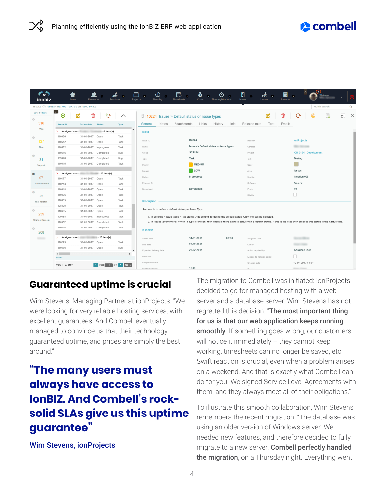## **re** combell

| ionbiz               |                                                           | Home<br>Resources                                         |               | Delations   | Projects                                                                                                                                                                       | 恳<br>ω<br>Q<br><b>Timesheets</b><br>Costs<br>Time registrations                                               | 囹<br>Issues            | 国<br>ℯ⁄⊼<br>Leaves<br>Invoices | Œ<br>٠                 |                |  |  |  |  |
|----------------------|-----------------------------------------------------------|-----------------------------------------------------------|---------------|-------------|--------------------------------------------------------------------------------------------------------------------------------------------------------------------------------|---------------------------------------------------------------------------------------------------------------|------------------------|--------------------------------|------------------------|----------------|--|--|--|--|
|                      |                                                           | ISSUES <b>O ISSUES &gt; DEFAULT STATUS ON ISSUE TYPES</b> |               |             |                                                                                                                                                                                |                                                                                                               |                        |                                | Quick search           | Q              |  |  |  |  |
| <b>Saved filters</b> | $\left  \right $<br>$\bigoplus$                           |                                                           |               | ∧           |                                                                                                                                                                                | $\Box$ 110224 Issues > Default status on issue types                                                          |                        | 會<br>K                         | <b>Le</b><br>G         | $\times$<br>ά. |  |  |  |  |
| $\circ$              |                                                           |                                                           |               |             |                                                                                                                                                                                |                                                                                                               |                        |                                |                        |                |  |  |  |  |
| 316                  | Issue ID                                                  | Action date                                               | <b>Status</b> | Type        | <b>Notes</b><br>General                                                                                                                                                        | Attachments<br>Links<br>History                                                                               | Info<br>Release note   | Test<br>Emails                 |                        |                |  |  |  |  |
| Wim                  | [-] Assigned user:                                        |                                                           | $-6$ item(s)  |             | <b>Detail</b>                                                                                                                                                                  |                                                                                                               |                        |                                |                        |                |  |  |  |  |
| $\circ$              | 110056                                                    | 31-01-2017 Open                                           |               | Task        |                                                                                                                                                                                | 110224                                                                                                        |                        |                                |                        |                |  |  |  |  |
| 127                  | 110612                                                    | 31-01-2017 Open                                           |               | Task        | Issue ID                                                                                                                                                                       |                                                                                                               | Relation               |                                | <b>ionProjects</b>     |                |  |  |  |  |
| New                  | 110532                                                    | 31-01-2017 In progress                                    |               | Task        | Name                                                                                                                                                                           | Issues > Default status on issue types                                                                        | Contact                |                                | <b>SEED FRANCISCO</b>  |                |  |  |  |  |
| $\circ$              | 110616                                                    | 31-01-2017 Completed                                      |               | Bug         | Group                                                                                                                                                                          | <b>SCRUM</b>                                                                                                  | Project                |                                | ION-0194 - Development |                |  |  |  |  |
| 31                   | 109998                                                    | 31-01-2017 Completed                                      |               | Bug         | Type                                                                                                                                                                           | Task                                                                                                          | Task                   |                                | Testing                |                |  |  |  |  |
| Dispatch             | 110515                                                    | 31-01-2017 Completed                                      |               | Task        | Priority                                                                                                                                                                       | MEDIUM                                                                                                        | Color                  |                                |                        |                |  |  |  |  |
| $\circ$              |                                                           | [-] Assigned user: 40 (10) 10 (10) 10 (10) 10) 10         |               |             | Impact                                                                                                                                                                         | <b>LOW</b>                                                                                                    | Area                   |                                | <b>Issues</b>          |                |  |  |  |  |
| 97                   | 110177                                                    | 31-01-2017 Open                                           |               | Task        | <b>Status</b>                                                                                                                                                                  | In progress                                                                                                   | lteration              |                                | Iteration 096          |                |  |  |  |  |
| Current iteration    | 110213                                                    | 31-01-2017 Open                                           |               | Task        | External ID                                                                                                                                                                    |                                                                                                               | Software               |                                | ACC70                  |                |  |  |  |  |
|                      | 110618                                                    | 31-01-2017 Open                                           |               | Task        | Department                                                                                                                                                                     | Developers                                                                                                    | Points                 |                                | 10                     |                |  |  |  |  |
| $\circ$<br>25        | 110406                                                    | 31-01-2017 Open                                           |               | Task        |                                                                                                                                                                                |                                                                                                               | Billable               |                                | □                      |                |  |  |  |  |
| Next iteration       | 110465                                                    | 31-01-2017 Open                                           |               | Task        | <b>Description</b>                                                                                                                                                             |                                                                                                               |                        |                                |                        |                |  |  |  |  |
|                      | 108805                                                    | 31-01-2017 Open                                           |               | Task        |                                                                                                                                                                                |                                                                                                               |                        |                                |                        |                |  |  |  |  |
| o<br>239             | 110605                                                    | 31-01-2017 Open                                           |               | Task        |                                                                                                                                                                                | Purpose is to define a default status per issue Type.                                                         |                        |                                |                        |                |  |  |  |  |
|                      | 109388                                                    | 31-01-2017 In progress                                    |               | Task        |                                                                                                                                                                                | 1. In settings > issue types > Tab status: Add column to define the default status. Only one can be selected. |                        |                                |                        |                |  |  |  |  |
| Change Request       | 110552                                                    | 31-01-2017 Completed                                      |               | Task        | 2. In issues (everywhere). When a type is chosen, then check is there exists a status with a default status. If this is the case then propose this status in the Status field. |                                                                                                               |                        |                                |                        |                |  |  |  |  |
| $\odot$              | 110615                                                    | 31-01-2017 Completed                                      |               | Task        | In ionBiz                                                                                                                                                                      |                                                                                                               |                        |                                |                        |                |  |  |  |  |
| 208                  |                                                           |                                                           |               |             |                                                                                                                                                                                |                                                                                                               |                        |                                |                        |                |  |  |  |  |
| <b>SERVICE</b>       |                                                           | [-] Assigned user: 10 item(s)                             |               |             | Action date                                                                                                                                                                    | 31-01-2017                                                                                                    | 00:00<br>Assigned user |                                | <b>CERTAIN</b>         |                |  |  |  |  |
|                      | 110295<br>110576                                          | 31-01-2017 Open<br>31-01-2017 Open                        |               | Task<br>Bug | Due date                                                                                                                                                                       | 20-02-2017                                                                                                    | Owner                  |                                | <b>SURPOSTER</b>       |                |  |  |  |  |
|                      |                                                           |                                                           |               |             | Expected delivery date                                                                                                                                                         | 28-02-2017                                                                                                    |                        | Action required by             | Assigned user          |                |  |  |  |  |
|                      | $\left\langle \frac{1}{2} \right\rangle$<br><b>Totals</b> |                                                           |               |             | Reminder                                                                                                                                                                       |                                                                                                               |                        | Expose to Relation portal      | п                      |                |  |  |  |  |
|                      | View 1 - 97 of 97                                         |                                                           | Page 1 of 1   | $100 \div$  | Completion date                                                                                                                                                                |                                                                                                               | Creation date          |                                | 12-01-2017 14:44       |                |  |  |  |  |
|                      |                                                           |                                                           |               |             | Estimated hours                                                                                                                                                                | 16,00                                                                                                         | Creator                |                                |                        |                |  |  |  |  |

#### **Guaranteed uptime is crucial**

Wim Stevens, Managing Partner at ionProjects: "We were looking for very reliable hosting services, with excellent guarantees. And Combell eventually managed to convince us that their technology, guaranteed uptime, and prices are simply the best around."

# **"The many users must always have access to IonBIZ. And Combell's rocksolid SLAs give us this uptime guarantee"**

Wim Stevens, ionProjects

The migration to Combell was initiated: ionProjects decided to go for managed hosting with a web server and a database server. Wim Stevens has not regretted this decision: "The most important thing for us is that our web application keeps running smoothly. If something goes wrong, our customers will notice it immediately – they cannot keep working, timesheets can no longer be saved, etc. Swift reaction is crucial, even when a problem arises on a weekend. And that is exactly what Combell can do for you. We signed Service Level Agreements with them, and they always meet all of their obligations."

To illustrate this smooth collaboration, Wim Stevens remembers the recent migration: "The database was using an older version of Windows server. We needed new features, and therefore decided to fully migrate to a new server. Combell perfectly handled the migration, on a Thursday night. Everything went